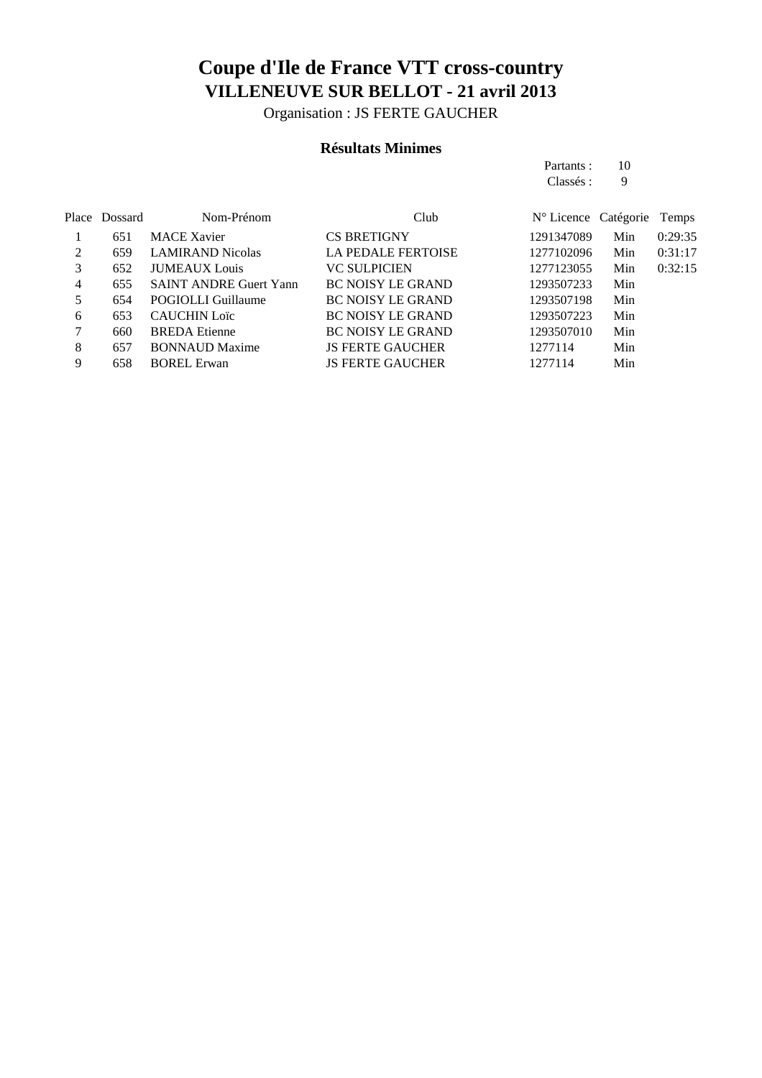Organisation : JS FERTE GAUCHER

#### **Résultats Minimes**

|   |               |                               |                           | Partants :                    | 10  |         |
|---|---------------|-------------------------------|---------------------------|-------------------------------|-----|---------|
|   |               |                               |                           | Classés :                     | 9   |         |
|   | Place Dossard | Nom-Prénom                    | Club                      | $N^{\circ}$ Licence Catégorie |     | Temps   |
|   | 651           | <b>MACE Xavier</b>            | <b>CS BRETIGNY</b>        | 1291347089                    | Min | 0:29:35 |
| 2 | 659           | <b>LAMIRAND Nicolas</b>       | <b>LA PEDALE FERTOISE</b> | 1277102096                    | Min | 0:31:17 |
| 3 | 652           | <b>JUMEAUX</b> Louis          | <b>VC SULPICIEN</b>       | 1277123055                    | Min | 0:32:15 |
| 4 | 655           | <b>SAINT ANDRE Guert Yann</b> | <b>BC NOISY LE GRAND</b>  | 1293507233                    | Min |         |
| 5 | 654           | POGIOLLI Guillaume            | <b>BC NOISY LE GRAND</b>  | 1293507198                    | Min |         |
| 6 | 653           | <b>CAUCHIN Loïc</b>           | <b>BC NOISY LE GRAND</b>  | 1293507223                    | Min |         |
| 7 | 660           | <b>BREDA</b> Etienne          | <b>BC NOISY LE GRAND</b>  | 1293507010                    | Min |         |
| 8 | 657           | <b>BONNAUD Maxime</b>         | <b>JS FERTE GAUCHER</b>   | 1277114                       | Min |         |

9 658 BOREL Erwan JS FERTE GAUCHER 1277114 Min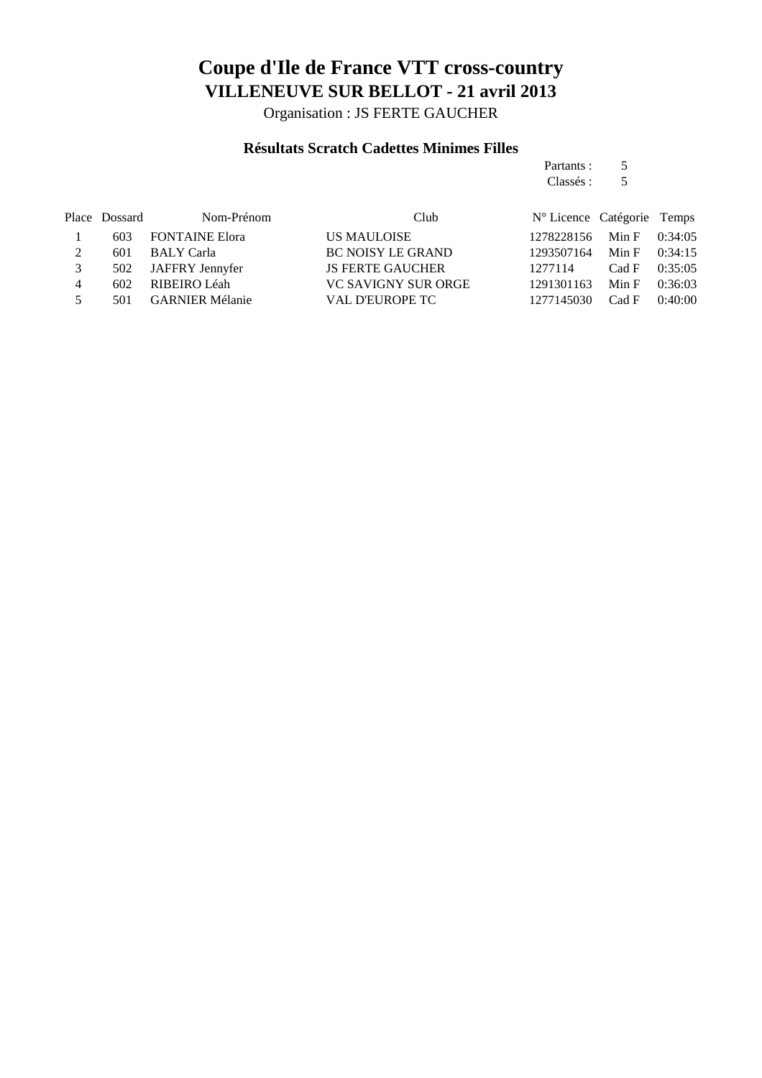Organisation : JS FERTE GAUCHER

#### **Résultats Scratch Cadettes Minimes Filles**

| Partants: | 5 |
|-----------|---|
| Classés : | 5 |

|   | Place Dossard | Nom-Prénom            | Club                       | N° Licence Catégorie Temps |                 |  |
|---|---------------|-----------------------|----------------------------|----------------------------|-----------------|--|
|   | 603           | <b>FONTAINE Elora</b> | US MAULOISE                | 1278228156                 | Min F $0:34:05$ |  |
| 2 | 601           | BALY Carla            | <b>BC NOISY LE GRAND</b>   | 1293507164                 | Min F $0:34:15$ |  |
| 3 |               | 502 JAFFRY Jennyfer   | <b>JS FERTE GAUCHER</b>    | 1277114                    | Cad F $0:35:05$ |  |
| 4 | 602           | RIBEIRO Léah          | <b>VC SAVIGNY SUR ORGE</b> | 1291301163                 | Min F $0:36:03$ |  |
| 5 |               | 501 GARNIER Mélanie   | VAL D'EUROPE TC            | 1277145030                 | Cad F $0:40:00$ |  |
|   |               |                       |                            |                            |                 |  |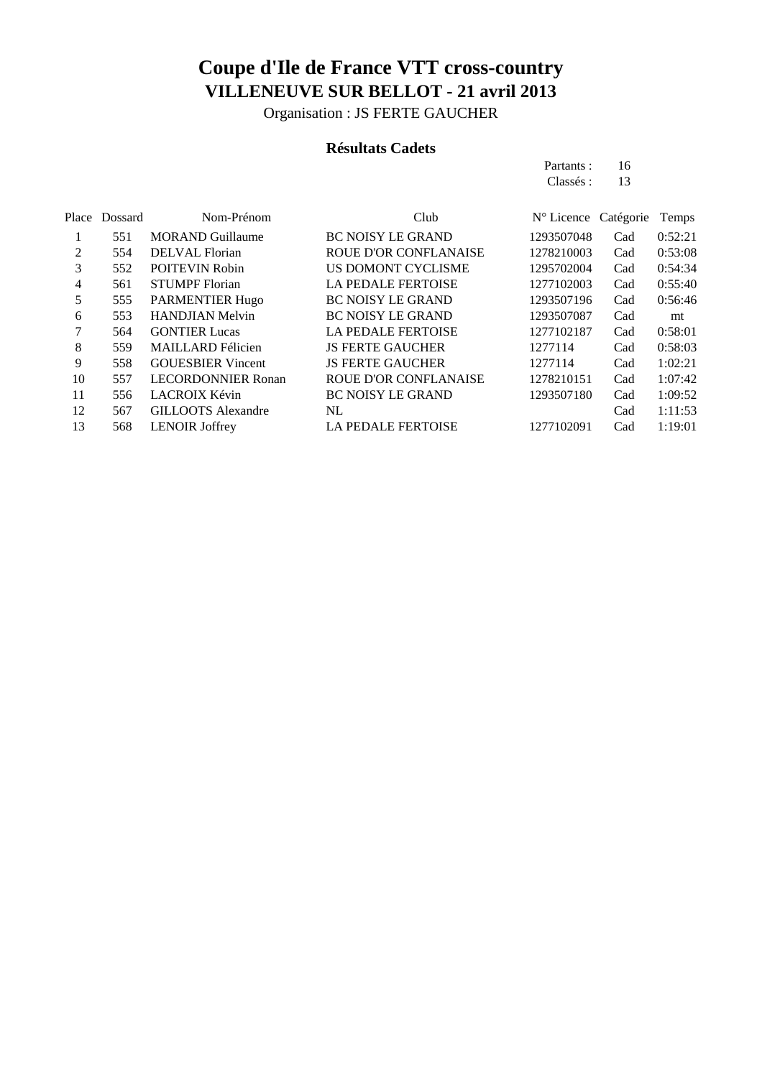Organisation : JS FERTE GAUCHER

#### **Résultats Cadets**

| Partants : | 16 |
|------------|----|
| Classés :  | 13 |
|            |    |

|    | Place Dossard | Nom-Prénom                | Club                         | N° Licence | Catégorie | Temps   |
|----|---------------|---------------------------|------------------------------|------------|-----------|---------|
|    | 551           | <b>MORAND Guillaume</b>   | <b>BC NOISY LE GRAND</b>     | 1293507048 | Cad       | 0:52:21 |
| 2  | 554           | DELVAL Florian            | <b>ROUE D'OR CONFLANAISE</b> | 1278210003 | Cad       | 0:53:08 |
| 3  | 552           | <b>POITEVIN Robin</b>     | <b>US DOMONT CYCLISME</b>    | 1295702004 | Cad       | 0:54:34 |
| 4  | 561           | <b>STUMPF</b> Florian     | <b>LA PEDALE FERTOISE</b>    | 1277102003 | Cad       | 0:55:40 |
| 5  | 555           | <b>PARMENTIER Hugo</b>    | <b>BC NOISY LE GRAND</b>     | 1293507196 | Cad       | 0:56:46 |
| 6  | 553           | <b>HANDJIAN Melvin</b>    | <b>BC NOISY LE GRAND</b>     | 1293507087 | Cad       | mt      |
| 7  | 564           | <b>GONTIER Lucas</b>      | <b>LA PEDALE FERTOISE</b>    | 1277102187 | Cad       | 0:58:01 |
| 8  | 559           | <b>MAILLARD</b> Félicien  | <b>JS FERTE GAUCHER</b>      | 1277114    | Cad       | 0:58:03 |
| 9  | 558           | <b>GOUESBIER</b> Vincent  | <b>JS FERTE GAUCHER</b>      | 1277114    | Cad       | 1:02:21 |
| 10 | 557           | <b>LECORDONNIER Ronan</b> | <b>ROUE D'OR CONFLANAISE</b> | 1278210151 | Cad       | 1:07:42 |
| 11 | 556           | <b>LACROIX Kévin</b>      | <b>BC NOISY LE GRAND</b>     | 1293507180 | Cad       | 1:09:52 |
| 12 | 567           | <b>GILLOOTS</b> Alexandre | NL                           |            | Cad       | 1:11:53 |
| 13 | 568           | <b>LENOIR Joffrey</b>     | <b>LA PEDALE FERTOISE</b>    | 1277102091 | Cad       | 1:19:01 |
|    |               |                           |                              |            |           |         |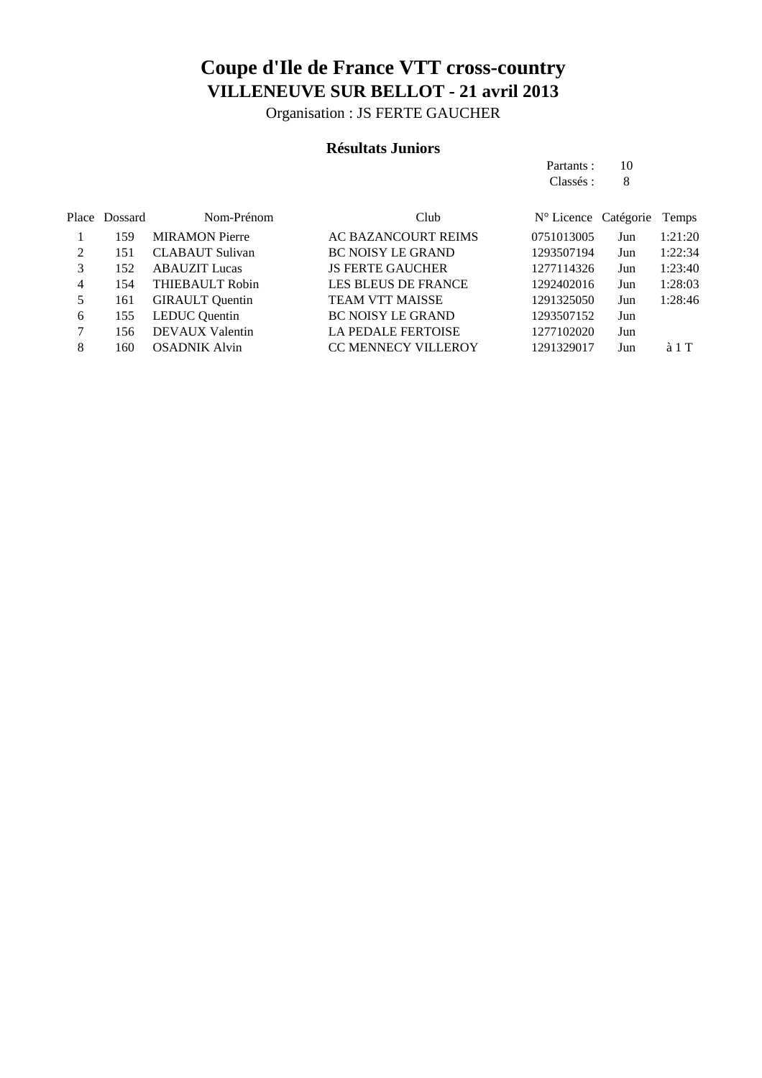Organisation : JS FERTE GAUCHER

#### **Résultats Juniors**

| Partants : | 10 |
|------------|----|
| Classés :  | 8  |

|   | Place Dossard | Nom-Prénom             | Club                       | $N^{\circ}$ Licence Catégorie |     | Temps         |
|---|---------------|------------------------|----------------------------|-------------------------------|-----|---------------|
|   | 159           | <b>MIRAMON</b> Pierre  | AC BAZANCOURT REIMS        | 0751013005                    | Jun | 1:21:20       |
|   | 151           | <b>CLABAUT</b> Sulivan | <b>BC NOISY LE GRAND</b>   | 1293507194                    | Jun | 1:22:34       |
|   | 152           | <b>ABAUZIT</b> Lucas   | <b>JS FERTE GAUCHER</b>    | 1277114326                    | Jun | 1:23:40       |
| 4 | 154           | <b>THIEBAULT Robin</b> | <b>LES BLEUS DE FRANCE</b> | 1292402016                    | Jun | 1:28:03       |
| 5 | 161           | <b>GIRAULT</b> Quentin | <b>TEAM VTT MAISSE</b>     | 1291325050                    | Jun | 1:28:46       |
| 6 | 155           | <b>LEDUC</b> Quentin   | <b>BC NOISY LE GRAND</b>   | 1293507152                    | Jun |               |
|   | 156           | <b>DEVAUX Valentin</b> | <b>LA PEDALE FERTOISE</b>  | 1277102020                    | Jun |               |
| 8 | 160           | <b>OSADNIK Alvin</b>   | <b>CC MENNECY VILLEROY</b> | 1291329017                    | Jun | $\lambda$ 1 T |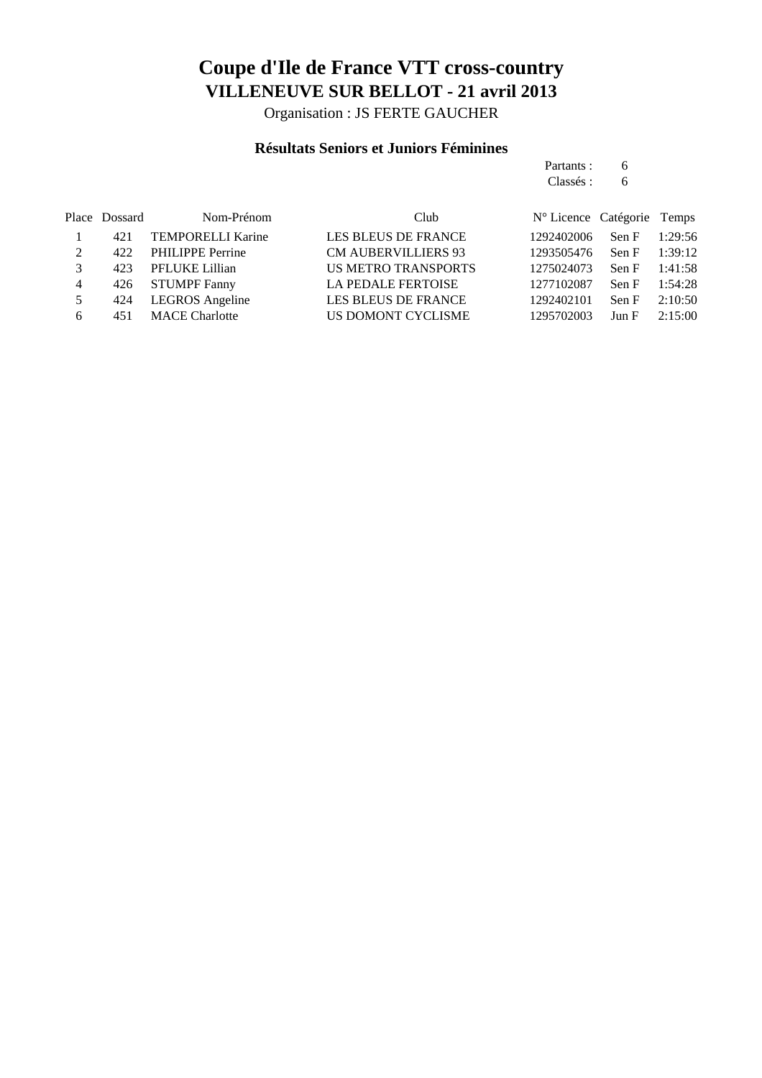Organisation : JS FERTE GAUCHER

#### **Résultats Seniors et Juniors Féminines**

|                |               |                          |                            | Partants :                    | 6     |         |
|----------------|---------------|--------------------------|----------------------------|-------------------------------|-------|---------|
|                |               |                          |                            | Classés :                     | 6     |         |
|                | Place Dossard | Nom-Prénom               | Club                       | $N^{\circ}$ Licence Catégorie |       | Temps   |
|                | 421           | <b>TEMPORELLI Karine</b> | <b>LES BLEUS DE FRANCE</b> | 1292402006                    | Sen F | 1:29:56 |
| $\mathcal{L}$  | 422           | <b>PHILIPPE Perrine</b>  | <b>CM AUBERVILLIERS 93</b> | 1293505476                    | Sen F | 1:39:12 |
| 3              | 423           | PFLUKE Lillian           | US METRO TRANSPORTS        | 1275024073                    | Sen F | 1:41:58 |
| $\overline{4}$ | 426           | <b>STUMPF Fanny</b>      | <b>LA PEDALE FERTOISE</b>  | 1277102087                    | Sen F | 1:54:28 |
| 5              | 424           | LEGROS Angeline          | <b>LES BLEUS DE FRANCE</b> | 1292402101                    | Sen F | 2:10:50 |
| 6              | 451           | <b>MACE</b> Charlotte    | US DOMONT CYCLISME         | 1295702003                    | Jun F | 2:15:00 |
|                |               |                          |                            |                               |       |         |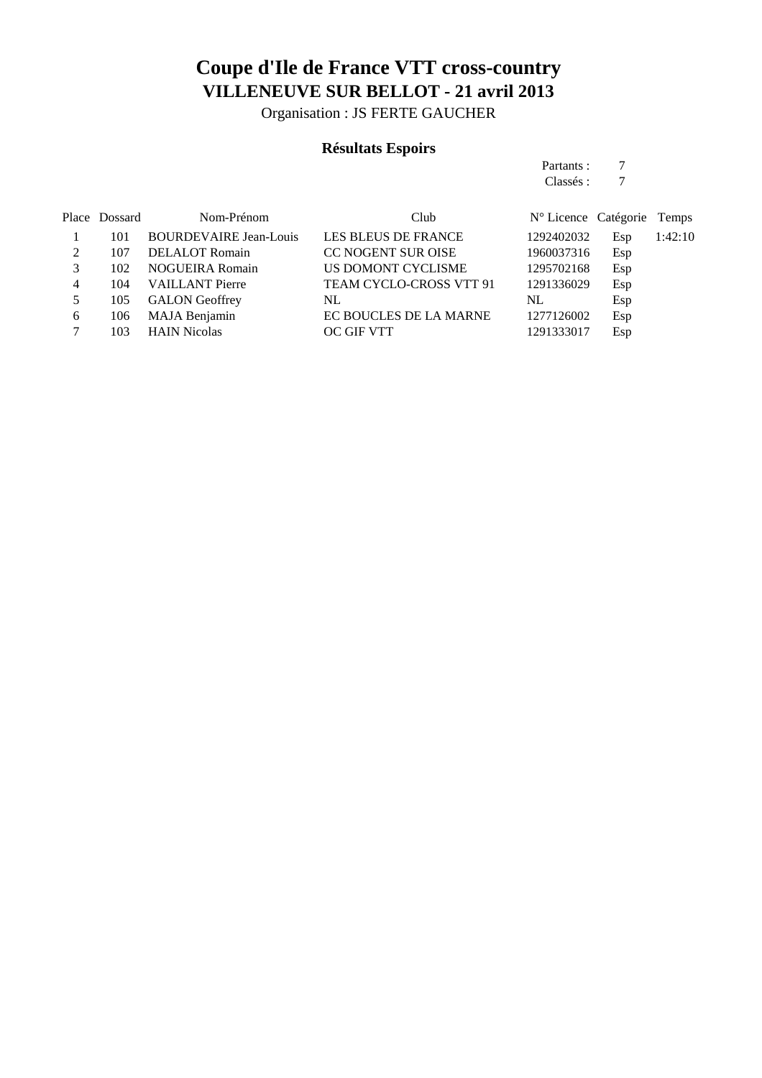Organisation : JS FERTE GAUCHER

#### **Résultats Espoirs**

| Partants: |  |
|-----------|--|
| Classés:  |  |

|   | Place Dossard | Nom-Prénom                    | Club                           | N° Licence Catégorie Temps |     |         |
|---|---------------|-------------------------------|--------------------------------|----------------------------|-----|---------|
|   | 101           | <b>BOURDEVAIRE Jean-Louis</b> | <b>LES BLEUS DE FRANCE</b>     | 1292402032                 | Esp | 1:42:10 |
| 2 | 107           | <b>DELALOT</b> Romain         | <b>CC NOGENT SUR OISE</b>      | 1960037316                 | Esp |         |
|   | 102           | <b>NOGUEIRA Romain</b>        | US DOMONT CYCLISME             | 1295702168                 | Esp |         |
| 4 | 104           | <b>VAILLANT</b> Pierre        | <b>TEAM CYCLO-CROSS VTT 91</b> | 1291336029                 | Esp |         |
|   | 105           | <b>GALON</b> Geoffrey         | NL                             | NL                         | Esp |         |
| 6 | 106           | MAJA Benjamin                 | EC BOUCLES DE LA MARNE         | 1277126002                 | Esp |         |
|   | 103           | <b>HAIN Nicolas</b>           | <b>OC GIF VTT</b>              | 1291333017                 | Esp |         |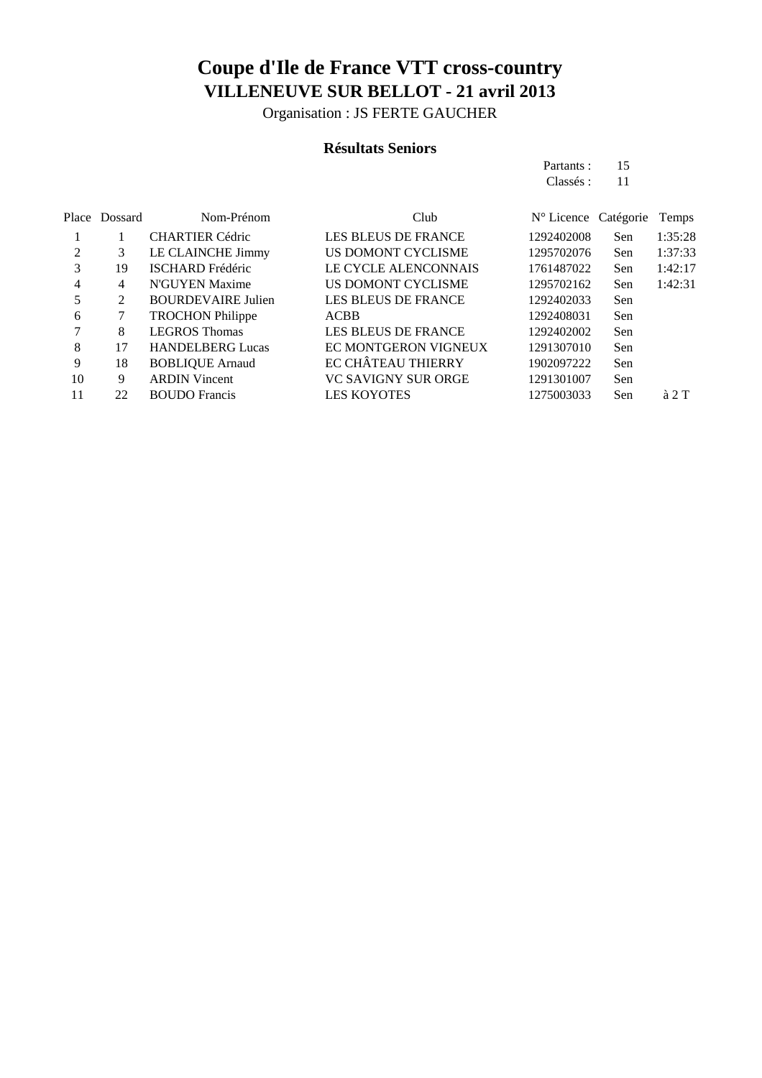Organisation : JS FERTE GAUCHER

#### **Résultats Seniors**

| Partants: | 15 |
|-----------|----|
| Classés : | 11 |

|                | Place Dossard | Nom-Prénom                | Club                        | $N^{\circ}$ Licence Catégorie |     | Temps         |
|----------------|---------------|---------------------------|-----------------------------|-------------------------------|-----|---------------|
|                |               | <b>CHARTIER Cédric</b>    | <b>LES BLEUS DE FRANCE</b>  | 1292402008                    | Sen | 1:35:28       |
| $\mathfrak{D}$ | 3             | LE CLAINCHE Jimmy         | US DOMONT CYCLISME          | 1295702076                    | Sen | 1:37:33       |
| 3              | 19            | <b>ISCHARD</b> Frédéric   | <b>LE CYCLE ALENCONNAIS</b> | 1761487022                    | Sen | 1:42:17       |
| 4              | 4             | N'GUYEN Maxime            | US DOMONT CYCLISME          | 1295702162                    | Sen | 1:42:31       |
| 5              | 2             | <b>BOURDEVAIRE Julien</b> | <b>LES BLEUS DE FRANCE</b>  | 1292402033                    | Sen |               |
| 6              | 7             | <b>TROCHON Philippe</b>   | <b>ACBB</b>                 | 1292408031                    | Sen |               |
|                | 8             | <b>LEGROS Thomas</b>      | <b>LES BLEUS DE FRANCE</b>  | 1292402002                    | Sen |               |
| 8              | 17            | <b>HANDELBERG Lucas</b>   | EC MONTGERON VIGNEUX        | 1291307010                    | Sen |               |
| 9              | 18            | <b>BOBLIQUE Arnaud</b>    | <b>EC CHÂTEAU THIERRY</b>   | 1902097222                    | Sen |               |
| 10             | 9             | <b>ARDIN Vincent</b>      | <b>VC SAVIGNY SUR ORGE</b>  | 1291301007                    | Sen |               |
| 11             | 22            | <b>BOUDO</b> Francis      | <b>LES KOYOTES</b>          | 1275003033                    | Sen | $\lambda$ 2 T |
|                |               |                           |                             |                               |     |               |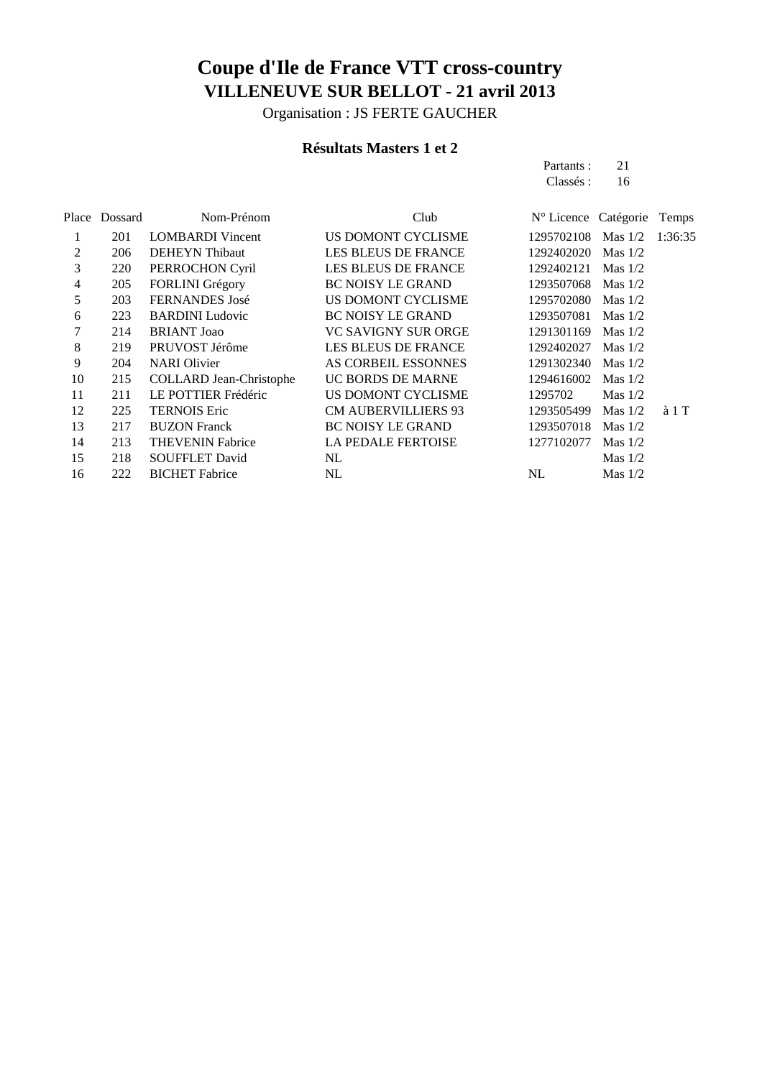Organisation : JS FERTE GAUCHER

#### **Résultats Masters 1 et 2**

| Partants : | 21 |
|------------|----|
| Classés :  | 16 |
|            |    |

| Place | Dossard | Nom-Prénom                     | Club                       | N° Licence Catégorie |           | Temps         |
|-------|---------|--------------------------------|----------------------------|----------------------|-----------|---------------|
| 1     | 201     | <b>LOMBARDI</b> Vincent        | US DOMONT CYCLISME         | 1295702108           | Mas $1/2$ | 1:36:35       |
| 2     | 206     | <b>DEHEYN</b> Thibaut          | <b>LES BLEUS DE FRANCE</b> | 1292402020           | Mas $1/2$ |               |
| 3     | 220     | PERROCHON Cyril                | <b>LES BLEUS DE FRANCE</b> | 1292402121           | Mas $1/2$ |               |
| 4     | 205     | <b>FORLINI</b> Grégory         | <b>BC NOISY LE GRAND</b>   | 1293507068           | Mas $1/2$ |               |
| 5     | 203     | <b>FERNANDES</b> José          | US DOMONT CYCLISME         | 1295702080           | Mas $1/2$ |               |
| 6     | 223     | <b>BARDINI</b> Ludovic         | <b>BC NOISY LE GRAND</b>   | 1293507081           | Mas $1/2$ |               |
|       | 214     | <b>BRIANT</b> Joao             | VC SAVIGNY SUR ORGE        | 1291301169           | Mas $1/2$ |               |
| 8     | 219     | PRUVOST Jérôme                 | <b>LES BLEUS DE FRANCE</b> | 1292402027           | Mas $1/2$ |               |
| 9     | 204     | <b>NARI</b> Olivier            | AS CORBEIL ESSONNES        | 1291302340           | Mas $1/2$ |               |
| 10    | 215     | <b>COLLARD</b> Jean-Christophe | UC BORDS DE MARNE          | 1294616002           | Mas $1/2$ |               |
| 11    | 211     | LE POTTIER Frédéric            | US DOMONT CYCLISME         | 1295702              | Mas $1/2$ |               |
| 12    | 225     | <b>TERNOIS Eric</b>            | <b>CM AUBERVILLIERS 93</b> | 1293505499           | Mas $1/2$ | $\lambda$ 1 T |
| 13    | 217     | <b>BUZON Franck</b>            | <b>BC NOISY LE GRAND</b>   | 1293507018           | Mas $1/2$ |               |
| 14    | 213     | <b>THEVENIN Fabrice</b>        | <b>LA PEDALE FERTOISE</b>  | 1277102077           | Mas $1/2$ |               |
| 15    | 218     | <b>SOUFFLET David</b>          | NL                         |                      | Mas $1/2$ |               |
| 16    | 222     | <b>BICHET</b> Fabrice          | NL                         | NL                   | Mas $1/2$ |               |
|       |         |                                |                            |                      |           |               |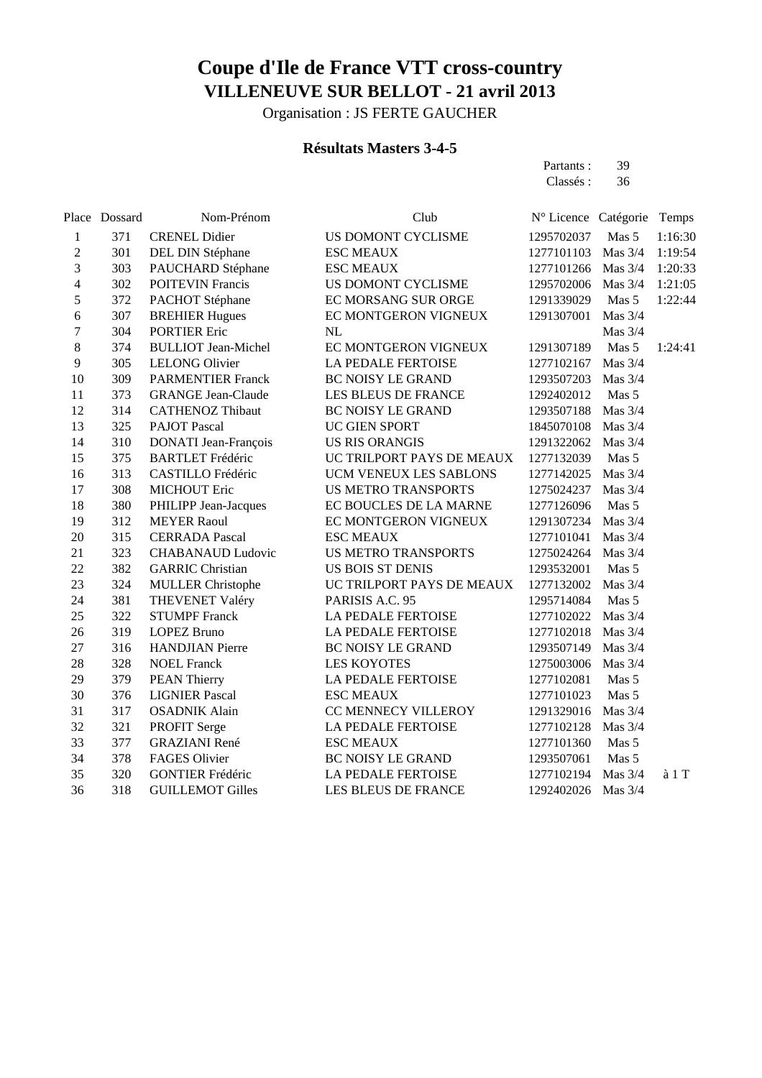Organisation : JS FERTE GAUCHER

#### **Résultats Masters 3-4-5**

Partants : 39<br>Classés : 36 Classés :

|                  | Place Dossard | Nom-Prénom                  | Club                       | N° Licence Catégorie Temps |           |                  |
|------------------|---------------|-----------------------------|----------------------------|----------------------------|-----------|------------------|
| $\mathbf{1}$     | 371           | <b>CRENEL Didier</b>        | US DOMONT CYCLISME         | 1295702037                 | Mas 5     | 1:16:30          |
| $\boldsymbol{2}$ | 301           | DEL DIN Stéphane            | <b>ESC MEAUX</b>           | 1277101103                 | Mas 3/4   | 1:19:54          |
| $\overline{3}$   | 303           | PAUCHARD Stéphane           | <b>ESC MEAUX</b>           | 1277101266                 | Mas 3/4   | 1:20:33          |
| $\overline{4}$   | 302           | <b>POITEVIN Francis</b>     | US DOMONT CYCLISME         | 1295702006                 | Mas $3/4$ | 1:21:05          |
| 5                | 372           | PACHOT Stéphane             | EC MORSANG SUR ORGE        | 1291339029                 | Mas 5     | 1:22:44          |
| 6                | 307           | <b>BREHIER Hugues</b>       | EC MONTGERON VIGNEUX       | 1291307001                 | Mas 3/4   |                  |
| $\overline{7}$   | 304           | <b>PORTIER Eric</b>         | <b>NL</b>                  |                            | Mas 3/4   |                  |
| $8\,$            | 374           | <b>BULLIOT</b> Jean-Michel  | EC MONTGERON VIGNEUX       | 1291307189                 | Mas 5     | 1:24:41          |
| 9                | 305           | <b>LELONG Olivier</b>       | LA PEDALE FERTOISE         | 1277102167                 | Mas 3/4   |                  |
| 10               | 309           | <b>PARMENTIER Franck</b>    | <b>BC NOISY LE GRAND</b>   | 1293507203                 | Mas $3/4$ |                  |
| 11               | 373           | <b>GRANGE Jean-Claude</b>   | LES BLEUS DE FRANCE        | 1292402012                 | Mas 5     |                  |
| 12               | 314           | <b>CATHENOZ Thibaut</b>     | <b>BC NOISY LE GRAND</b>   | 1293507188                 | Mas 3/4   |                  |
| 13               | 325           | <b>PAJOT Pascal</b>         | UC GIEN SPORT              | 1845070108                 | Mas 3/4   |                  |
| 14               | 310           | <b>DONATI</b> Jean-François | <b>US RIS ORANGIS</b>      | 1291322062                 | Mas 3/4   |                  |
| 15               | 375           | <b>BARTLET Frédéric</b>     | UC TRILPORT PAYS DE MEAUX  | 1277132039                 | Mas 5     |                  |
| 16               | 313           | CASTILLO Frédéric           | UCM VENEUX LES SABLONS     | 1277142025                 | Mas 3/4   |                  |
| 17               | 308           | <b>MICHOUT Eric</b>         | <b>US METRO TRANSPORTS</b> | 1275024237                 | Mas $3/4$ |                  |
| 18               | 380           | PHILIPP Jean-Jacques        | EC BOUCLES DE LA MARNE     | 1277126096                 | Mas 5     |                  |
| 19               | 312           | <b>MEYER Raoul</b>          | EC MONTGERON VIGNEUX       | 1291307234                 | Mas 3/4   |                  |
| 20               | 315           | <b>CERRADA Pascal</b>       | <b>ESC MEAUX</b>           | 1277101041                 | Mas $3/4$ |                  |
| 21               | 323           | <b>CHABANAUD Ludovic</b>    | <b>US METRO TRANSPORTS</b> | 1275024264                 | Mas 3/4   |                  |
| 22               | 382           | <b>GARRIC Christian</b>     | <b>US BOIS ST DENIS</b>    | 1293532001                 | Mas 5     |                  |
| 23               | 324           | <b>MULLER Christophe</b>    | UC TRILPORT PAYS DE MEAUX  | 1277132002                 | Mas 3/4   |                  |
| 24               | 381           | <b>THEVENET Valéry</b>      | PARISIS A.C. 95            | 1295714084                 | Mas 5     |                  |
| 25               | 322           | <b>STUMPF Franck</b>        | LA PEDALE FERTOISE         | 1277102022                 | Mas $3/4$ |                  |
| 26               | 319           | <b>LOPEZ Bruno</b>          | LA PEDALE FERTOISE         | 1277102018                 | Mas 3/4   |                  |
| 27               | 316           | <b>HANDJIAN</b> Pierre      | <b>BC NOISY LE GRAND</b>   | 1293507149                 | Mas $3/4$ |                  |
| 28               | 328           | <b>NOEL Franck</b>          | <b>LES KOYOTES</b>         | 1275003006                 | Mas 3/4   |                  |
| 29               | 379           | <b>PEAN Thierry</b>         | LA PEDALE FERTOISE         | 1277102081                 | Mas 5     |                  |
| 30               | 376           | <b>LIGNIER Pascal</b>       | <b>ESC MEAUX</b>           | 1277101023                 | Mas 5     |                  |
| 31               | 317           | <b>OSADNIK Alain</b>        | CC MENNECY VILLEROY        | 1291329016                 | Mas 3/4   |                  |
| 32               | 321           | PROFIT Serge                | <b>LA PEDALE FERTOISE</b>  | 1277102128                 | Mas $3/4$ |                  |
| 33               | 377           | <b>GRAZIANI</b> René        | <b>ESC MEAUX</b>           | 1277101360                 | Mas 5     |                  |
| 34               | 378           | FAGES Olivier               | <b>BC NOISY LE GRAND</b>   | 1293507061                 | Mas 5     |                  |
| 35               | 320           | <b>GONTIER Frédéric</b>     | LA PEDALE FERTOISE         | 1277102194                 | Mas 3/4   | a <sub>1</sub> T |
| 36               | 318           | <b>GUILLEMOT Gilles</b>     | LES BLEUS DE FRANCE        | 1292402026                 | Mas 3/4   |                  |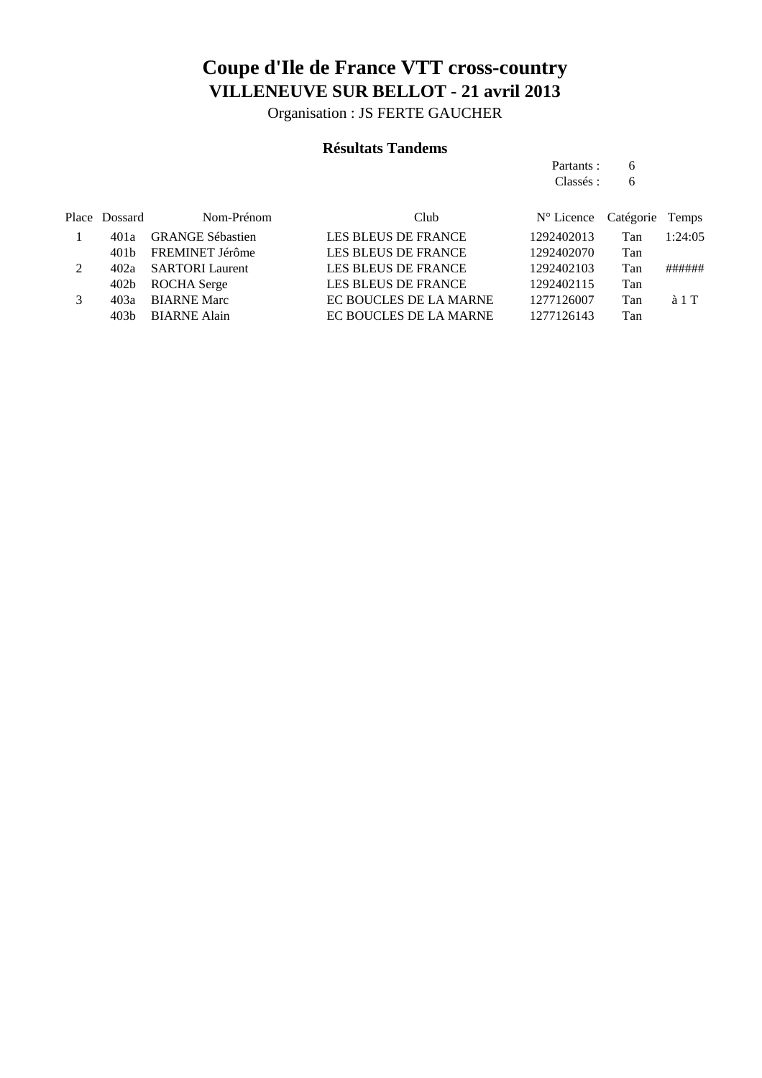Organisation : JS FERTE GAUCHER

#### **Résultats Tandems**

| Partants : | 6 |
|------------|---|
| Classés :  | 6 |
|            |   |

|               | Place Dossard | Nom-Prénom              | Club                       | N° Licence Catégorie Temps |     |               |
|---------------|---------------|-------------------------|----------------------------|----------------------------|-----|---------------|
|               | 401a          | <b>GRANGE Sébastien</b> | <b>LES BLEUS DE FRANCE</b> | 1292402013                 | Tan | 1:24:05       |
|               | 401 b         | FREMINET Jérôme         | LES BLEUS DE FRANCE        | 1292402070                 | Tan |               |
| $\mathcal{L}$ |               | 402a SARTORI Laurent    | LES BLEUS DE FRANCE        | 1292402103                 | Tan | ######        |
|               | 402b          | ROCHA Serge             | <b>LES BLEUS DE FRANCE</b> | 1292402115                 | Tan |               |
|               | 40За          | <b>BIARNE Marc</b>      | EC BOUCLES DE LA MARNE     | 1277126007                 | Tan | $\lambda$ 1 T |
|               | 403h          | <b>BIARNE Alain</b>     | EC BOUCLES DE LA MARNE     | 1277126143                 | Tan |               |